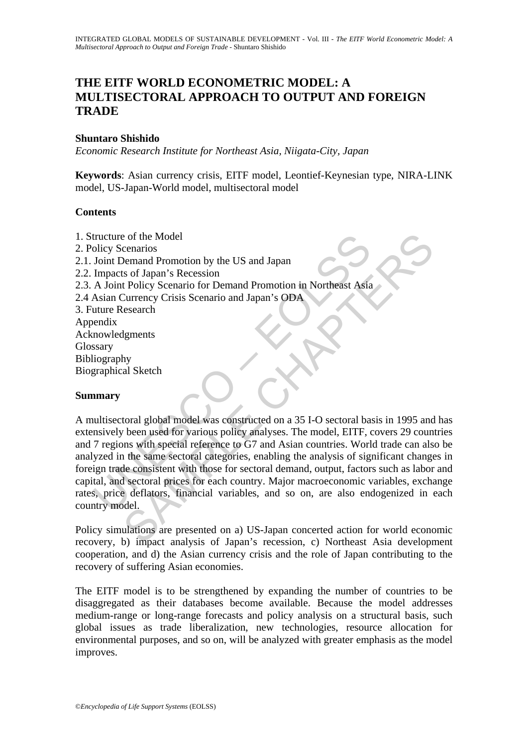# **THE EITF WORLD ECONOMETRIC MODEL: A MULTISECTORAL APPROACH TO OUTPUT AND FOREIGN TRADE**

### **Shuntaro Shishido**

*Economic Research Institute for Northeast Asia, Niigata-City, Japan* 

**Keywords**: Asian currency crisis, EITF model, Leontief-Keynesian type, NIRA-LINK model, US-Japan-World model, multisectoral model

### **Contents**

tructure of the Model<br>
Joint Demand Promotion by the US and Japan<br>
Impacts of Japan's Recession<br>
A Joint Policy Scenario for Demand Promotion in Northeast Asia<br>
Asian Currency Crisis Scenario and Japan's ODA<br>
uture Researc enarios<br>
Se of the Model<br>
Demand Promotion by the US and Japan<br>
Se of Japan's Recession<br>
Leolicy Scenario for Demand Promotion in Northeast Asia<br>
Search<br>
Leonical Chapter Crisis Scenario and Japan's ODA<br>
Search<br>
Search<br>
Se 1. Structure of the Model 2. Policy Scenarios 2.1. Joint Demand Promotion by the US and Japan 2.2. Impacts of Japan's Recession 2.3. A Joint Policy Scenario for Demand Promotion in Northeast Asia 2.4 Asian Currency Crisis Scenario and Japan's ODA 3. Future Research Appendix Acknowledgments Glossary Bibliography Biographical Sketch

### **Summary**

A multisectoral global model was constructed on a 35 I-O sectoral basis in 1995 and has extensively been used for various policy analyses. The model, EITF, covers 29 countries and 7 regions with special reference to G7 and Asian countries. World trade can also be analyzed in the same sectoral categories, enabling the analysis of significant changes in foreign trade consistent with those for sectoral demand, output, factors such as labor and capital, and sectoral prices for each country. Major macroeconomic variables, exchange rates, price deflators, financial variables, and so on, are also endogenized in each country model.

Policy simulations are presented on a) US-Japan concerted action for world economic recovery, b) impact analysis of Japan's recession, c) Northeast Asia development cooperation, and d) the Asian currency crisis and the role of Japan contributing to the recovery of suffering Asian economies.

The EITF model is to be strengthened by expanding the number of countries to be disaggregated as their databases become available. Because the model addresses medium-range or long-range forecasts and policy analysis on a structural basis, such global issues as trade liberalization, new technologies, resource allocation for environmental purposes, and so on, will be analyzed with greater emphasis as the model improves.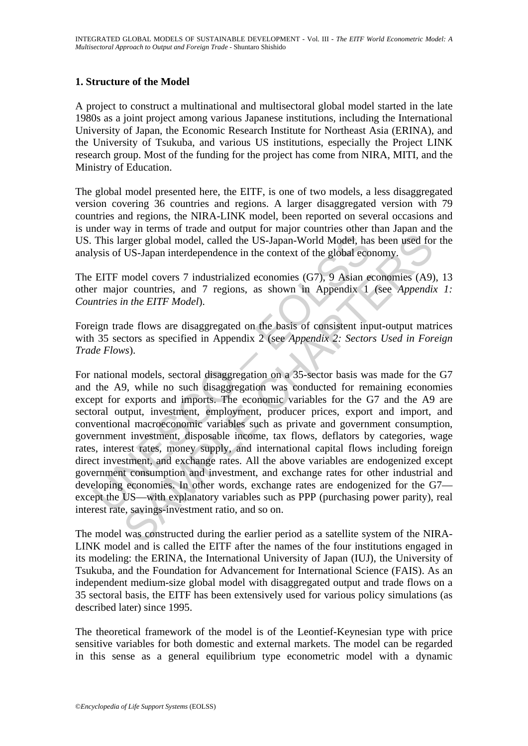## **1. Structure of the Model**

A project to construct a multinational and multisectoral global model started in the late 1980s as a joint project among various Japanese institutions, including the International University of Japan, the Economic Research Institute for Northeast Asia (ERINA), and the University of Tsukuba, and various US institutions, especially the Project LINK research group. Most of the funding for the project has come from NIRA, MITI, and the Ministry of Education.

The global model presented here, the EITF, is one of two models, a less disaggregated version covering 36 countries and regions. A larger disaggregated version with 79 countries and regions, the NIRA-LINK model, been reported on several occasions and is under way in terms of trade and output for major countries other than Japan and the US. This larger global model, called the US-Japan-World Model, has been used for the analysis of US-Japan interdependence in the context of the global economy.

The EITF model covers 7 industrialized economies (G7), 9 Asian economies (A9), 13 other major countries, and 7 regions, as shown in Appendix 1 (see *Appendix 1: Countries in the EITF Model*).

Foreign trade flows are disaggregated on the basis of consistent input-output matrices with 35 sectors as specified in Appendix 2 (see *Appendix 2: Sectors Used in Foreign Trade Flows*).

This larger global model, called the US-Japan-World Model, has<br>ysis of US-Japan interdependence in the context of the global eco<br>EITF model covers 7 industrialized economies (G7), 9 Asian et<br>r r major countries, and 7 regi Traper global model, called the US-Japan-World Model, has been used for US-Japan interdependence in the context of the global economy.<br>
model covers 7 industrialized economies (G7), 9 Asian economies (A9)<br>
model covers 7 i For national models, sectoral disaggregation on a 35-sector basis was made for the G7 and the A9, while no such disaggregation was conducted for remaining economies except for exports and imports. The economic variables for the G7 and the A9 are sectoral output, investment, employment, producer prices, export and import, and conventional macroeconomic variables such as private and government consumption, government investment, disposable income, tax flows, deflators by categories, wage rates, interest rates, money supply, and international capital flows including foreign direct investment, and exchange rates. All the above variables are endogenized except government consumption and investment, and exchange rates for other industrial and developing economies. In other words, exchange rates are endogenized for the G7 except the US—with explanatory variables such as PPP (purchasing power parity), real interest rate, savings-investment ratio, and so on.

The model was constructed during the earlier period as a satellite system of the NIRA-LINK model and is called the EITF after the names of the four institutions engaged in its modeling: the ERINA, the International University of Japan (IUJ), the University of Tsukuba, and the Foundation for Advancement for International Science (FAIS). As an independent medium-size global model with disaggregated output and trade flows on a 35 sectoral basis, the EITF has been extensively used for various policy simulations (as described later) since 1995.

The theoretical framework of the model is of the Leontief-Keynesian type with price sensitive variables for both domestic and external markets. The model can be regarded in this sense as a general equilibrium type econometric model with a dynamic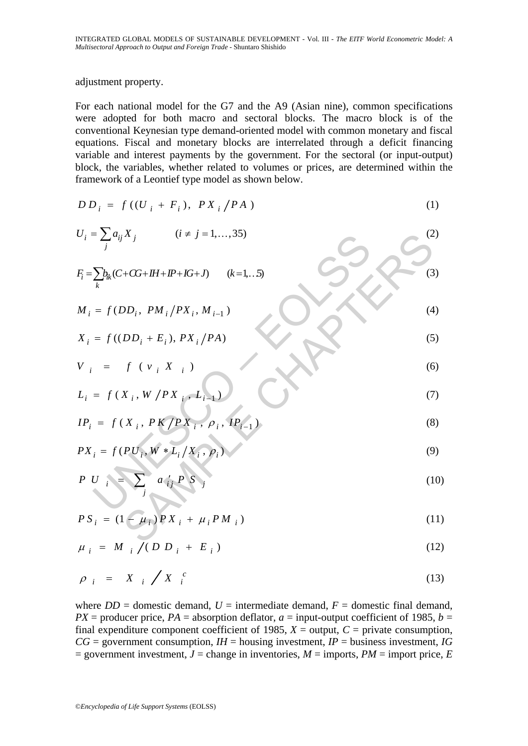adjustment property.

For each national model for the G7 and the A9 (Asian nine), common specifications were adopted for both macro and sectoral blocks. The macro block is of the conventional Keynesian type demand-oriented model with common monetary and fiscal equations. Fiscal and monetary blocks are interrelated through a deficit financing variable and interest payments by the government. For the sectoral (or input-output) block, the variables, whether related to volumes or prices, are determined within the framework of a Leontief type model as shown below.

$$
DD_i = f((U_i + F_i), PX_i / PA)
$$
 (1)

$$
U_{i} = \sum_{j} a_{ij} X_{j} \qquad (i \neq j = 1,...,35)
$$
\n
$$
F_{i} = \sum_{k} b_{ik} (C + CG + IH + IP + IG + J) \qquad (k = 1,..5)
$$
\n
$$
M_{i} = f (DD_{i}, PM_{i}/PX_{i}, M_{i-1})
$$
\n
$$
X_{i} = f ((DD_{i} + E_{i}), PX_{i}/PA)
$$
\n
$$
V_{i} = f (V_{i}, X_{i})
$$
\n
$$
L_{i} = f (X_{i}, W / PX_{i}, L_{i-1})
$$
\n
$$
IP_{i} = f (X_{i}, PK / PX_{i}, P_{i}, IP_{i-1})
$$
\n
$$
PX_{i} = f (PU_{i}, W * L_{i}/X_{i}, P_{i})
$$
\n
$$
PX_{i} = f (PU_{i}, W * L_{i}/X_{i}, P_{i})
$$
\n
$$
PS_{i} = (1 - \mu_{i})PX_{i} + \mu_{i}PM_{i})
$$
\n
$$
(10)
$$

$$
IP_i = f(X_i, PK/PX_i, \rho_i, IP_{i-1})
$$
\n(8)

$$
PX_i = f(PU_i, W * L_i / X_i, \rho_i)
$$
\n
$$
(9)
$$

$$
P \ U \big|_{i} = \sum_{j} a'_{ij} P S_{j} \tag{10}
$$

$$
PS_{i} = (1 - \mu_{i})PX_{i} + \mu_{i}PM_{i})
$$
\n(11)

$$
\mu_{i} = M_{i} / (D D_{i} + E_{i}) \tag{12}
$$

$$
\rho_{i} = X_{i} / X_{i}^{c} \tag{13}
$$

where  $DD =$  domestic demand,  $U =$  intermediate demand,  $F =$  domestic final demand,  $PX =$  producer price,  $PA =$  absorption deflator,  $a =$  input-output coefficient of 1985,  $b =$ final expenditure component coefficient of 1985,  $X =$  output,  $C =$  private consumption,  $CG =$  government consumption,  $IH =$  housing investment,  $IP =$  business investment,  $IG$  $=$  government investment,  $J =$  change in inventories,  $M =$  imports,  $PM =$  import price,  $E$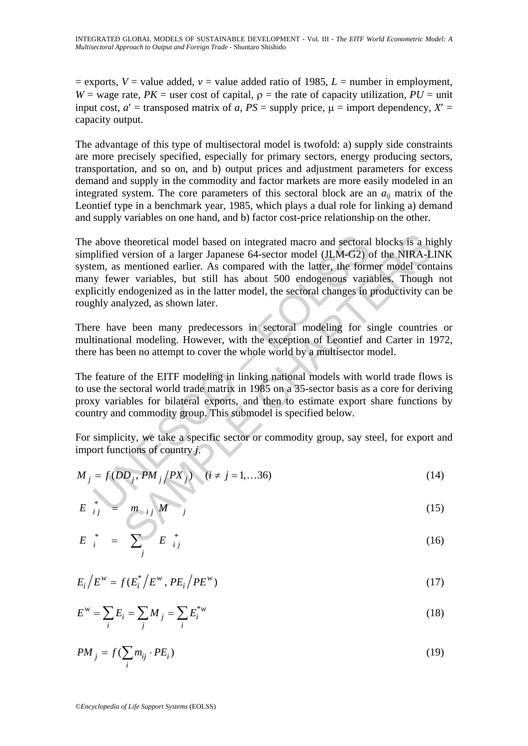$=$  exports,  $V =$  value added,  $v =$  value added ratio of 1985,  $L =$  number in employment, *W* = wage rate, *PK* = user cost of capital,  $\rho$  = the rate of capacity utilization, *PU* = unit input cost,  $a'$  = transposed matrix of *a*,  $PS$  = supply price,  $\mu$  = import dependency,  $X'$  = capacity output.

The advantage of this type of multisectoral model is twofold: a) supply side constraints are more precisely specified, especially for primary sectors, energy producing sectors, transportation, and so on, and b) output prices and adjustment parameters for excess demand and supply in the commodity and factor markets are more easily modeled in an integrated system. The core parameters of this sectoral block are an  $a_{ii}$  matrix of the Leontief type in a benchmark year, 1985, which plays a dual role for linking a) demand and supply variables on one hand, and b) factor cost-price relationship on the other.

above theoretical model based on integrated macro and sectoral<br>plified version of a larger Japanese 64-sector model (JLM-G2) c<br>em, as mentioned earlier. As compared with the latter, the form<br>y fewer variables, but still h theoretical model based on integrated macro and sectoral blocks is a hit<br>version of a larger Japanese 64-sector model (JLM-G2) of the NIRA-L<br>mentioned earlier. As compared with the latter, the former model cont<br>mentioned The above theoretical model based on integrated macro and sectoral blocks is a highly simplified version of a larger Japanese 64-sector model (JLM-G2) of the NIRA-LINK system, as mentioned earlier. As compared with the latter, the former model contains many fewer variables, but still has about 500 endogenous variables. Though not explicitly endogenized as in the latter model, the sectoral changes in productivity can be roughly analyzed, as shown later.

There have been many predecessors in sectoral modeling for single countries or multinational modeling. However, with the exception of Leontief and Carter in 1972, there has been no attempt to cover the whole world by a multisector model.

The feature of the EITF modeling in linking national models with world trade flows is to use the sectoral world trade matrix in 1985 on a 35-sector basis as a core for deriving proxy variables for bilateral exports, and then to estimate export share functions by country and commodity group. This submodel is specified below.

For simplicity, we take a specific sector or commodity group, say steel, for export and import functions of country *j*.

$$
M_j = f(DD_j, PM_j/PX_j) \quad (i \neq j = 1,...36)
$$
 (14)

$$
E_{ij}^* = m_{ij} M_j \qquad (15)
$$

$$
E_i^* = \sum_j^* E_{ij}^* \tag{16}
$$

$$
E_i/E^w = f(E_i^*)/E^w, PE_i/PE^w)
$$
\n(17)

$$
E^w = \sum_i E_i = \sum_j M_j = \sum_i E_i^{*w}
$$
 (18)

$$
PM_j = f(\sum_i m_{ij} \cdot PE_i)
$$
 (19)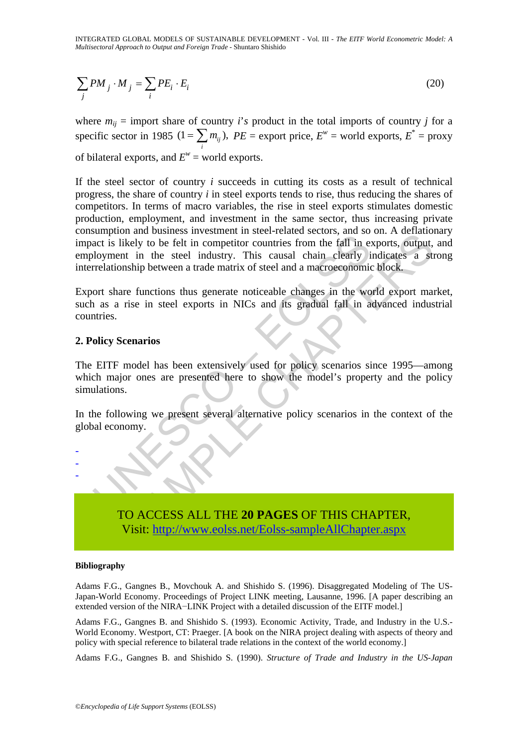INTEGRATED GLOBAL MODELS OF SUSTAINABLE DEVELOPMENT - Vol. III - *The EITF World Econometric Model: A Multisectoral Approach to Output and Foreign Trade* - Shuntaro Shishido

$$
\sum_{j} PM_j \cdot M_j = \sum_{i} PE_i \cdot E_i \tag{20}
$$

where  $m_{ij}$  = import share of country *i*'s product in the total imports of country *j* for a specific sector in 1985  $(1 = \sum_i m_{ij})$ ,  $PE$  = export price,  $E^w$  = world exports,  $E^*$  = proxy of bilateral exports, and  $E^w$  = world exports.

Suppose the substant is likely to be felt in competitor countries from the fall in expansion and case and substant in solely to be felt in competitor countries from the fall in eilay of relationship between a trade matrix The antioxies investment in steer-lead sectors, and so on. A centato and so so the felt in competitor countries from the fall in exports, output, the steel industry. This causal chain clearly indicates a studied to be felt If the steel sector of country *i* succeeds in cutting its costs as a result of technical progress, the share of country *i* in steel exports tends to rise, thus reducing the shares of competitors. In terms of macro variables, the rise in steel exports stimulates domestic production, employment, and investment in the same sector, thus increasing private consumption and business investment in steel-related sectors, and so on. A deflationary impact is likely to be felt in competitor countries from the fall in exports, output, and employment in the steel industry. This causal chain clearly indicates a strong interrelationship between a trade matrix of steel and a macroeconomic block.

Export share functions thus generate noticeable changes in the world export market, such as a rise in steel exports in NICs and its gradual fall in advanced industrial countries.

#### **2. Policy Scenarios**

The EITF model has been extensively used for policy scenarios since 1995—among which major ones are presented here to show the model's property and the policy simulations.

In the following we present several alternative policy scenarios in the context of the global economy.



-

TO ACCESS ALL THE **20 PAGES** OF THIS CHAPTER, Visit: http://www.eolss.net/Eolss-sampleAllChapter.aspx

#### **Bibliography**

Adams F.G., Gangnes B., Movchouk A. and Shishido S. (1996). Disaggregated Modeling of The US-Japan-World Economy. Proceedings of Project LINK meeting, Lausanne, 1996. [A paper describing an extended version of the NIRA−LINK Project with a detailed discussion of the EITF model.]

Adams F.G., Gangnes B. and Shishido S. (1993). Economic Activity, Trade, and Industry in the U.S.- World Economy. Westport, CT: Praeger. [A book on the NIRA project dealing with aspects of theory and policy with special reference to bilateral trade relations in the context of the world economy.]

Adams F.G., Gangnes B. and Shishido S. (1990). *Structure of Trade and Industry in the US-Japan*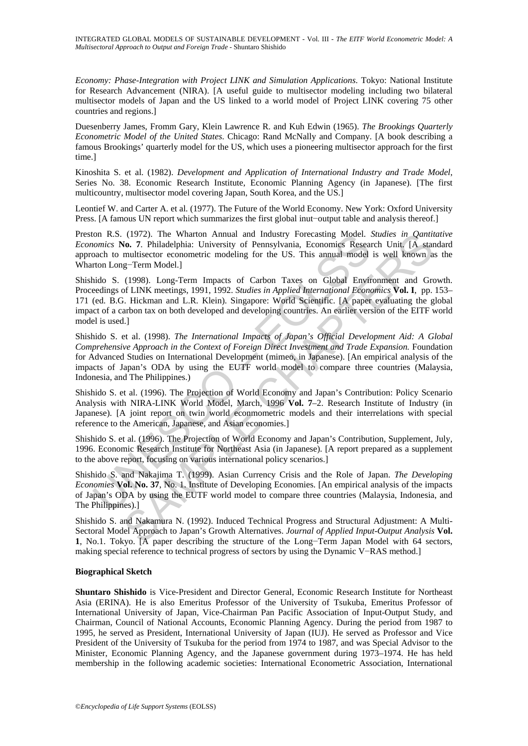*Economy: Phase-Integration with Project LINK and Simulation Applications*. Tokyo: National Institute for Research Advancement (NIRA). [A useful guide to multisector modeling including two bilateral multisector models of Japan and the US linked to a world model of Project LINK covering 75 other countries and regions.]

Duesenberry James, Fromm Gary, Klein Lawrence R. and Kuh Edwin (1965). *The Brookings Quarterly Econometric Model of the United States*. Chicago: Rand McNally and Company. [A book describing a famous Brookings' quarterly model for the US, which uses a pioneering multisector approach for the first time.]

Kinoshita S. et al. (1982). *Development and Application of International Industry and Trade Model*, Series No. 38. Economic Research Institute, Economic Planning Agency (in Japanese). [The first multicountry, multisector model covering Japan, South Korea, and the US.]

Leontief W. and Carter A. et al. (1977). The Future of the World Economy. New York: Oxford University Press. [A famous UN report which summarizes the first global inut−output table and analysis thereof.]

Preston R.S. (1972). The Wharton Annual and Industry Forecasting Model. *Studies in Qantitative Economics* **No. 7**. Philadelphia: University of Pennsylvania, Economics Research Unit. [A standard approach to multisector econometric modeling for the US. This annual model is well known as the Wharton Long−Term Model.]

non R.S. (1972). The Wharton Annual and Industry Forecasting Model. Connections No. 7. Philadelphia: University of Pennsylvania, Economics Resear both University of Pennsylvania, Economics Resear both University comparison (1972). The What on Annual and Industry Frorecasting Model. *Sindles in Omnitia*<br>(1972). The Viatron Annual and Industry for Pennsylvania, Economies Research Unit [A state multisector econometric modeling for the US. This Shishido S. (1998). Long-Term Impacts of Carbon Taxes on Global Environment and Growth. Proceedings of LINK meetings, 1991, 1992. *Studies in Applied International Economics* **Vol. I**, pp. 153– 171 (ed. B.G. Hickman and L.R. Klein). Singapore: World Scientific. [A paper evaluating the global impact of a carbon tax on both developed and developing countries. An earlier version of the EITF world model is used.]

Shishido S. et al. (1998). *The International Impacts of Japan's Official Development Aid: A Global Comprehensive Approach in the Context of Foreign Direct Investment and Trade Expansion.* Foundation for Advanced Studies on International Development (mimeo, in Japanese). [An empirical analysis of the impacts of Japan's ODA by using the EUTF world model to compare three countries (Malaysia, Indonesia, and The Philippines.)

Shishido S. et al. (1996). The Projection of World Economy and Japan's Contribution: Policy Scenario Analysis with NIRA-LINK World Model, March, 1996 **Vol. 7**–2. Research Institute of Industry (in Japanese). [A joint report on twin world econmometric models and their interrelations with special reference to the American, Japanese, and Asian economies.]

Shishido S. et al. (1996). The Projection of World Economy and Japan's Contribution, Supplement, July, 1996. Economic Research Institute for Northeast Asia (in Japanese). [A report prepared as a supplement to the above report, focusing on various international policy scenarios.]

Shishido S. and Nakajima T. (1999). Asian Currency Crisis and the Role of Japan. *The Developing Economies* **Vol. No. 37**, No. 1. Institute of Developing Economies. [An empirical analysis of the impacts of Japan's ODA by using the EUTF world model to compare three countries (Malaysia, Indonesia, and The Philippines).]

Shishido S. and Nakamura N. (1992). Induced Technical Progress and Structural Adjustment: A Multi-Sectoral Model Approach to Japan's Growth Alternatives. *Journal of Applied Input-Output Analysis* **Vol. 1**, No.1. Tokyo. [A paper describing the structure of the Long−Term Japan Model with 64 sectors, making special reference to technical progress of sectors by using the Dynamic V−RAS method.]

#### **Biographical Sketch**

**Shuntaro Shishido** is Vice-President and Director General, Economic Research Institute for Northeast Asia (ERINA). He is also Emeritus Professor of the University of Tsukuba, Emeritus Professor of International University of Japan, Vice-Chairman Pan Pacific Association of Input-Output Study, and Chairman, Council of National Accounts, Economic Planning Agency. During the period from 1987 to 1995, he served as President, International University of Japan (IUJ). He served as Professor and Vice President of the University of Tsukuba for the period from 1974 to 1987, and was Special Advisor to the Minister, Economic Planning Agency, and the Japanese government during 1973–1974. He has held membership in the following academic societies: International Econometric Association, International